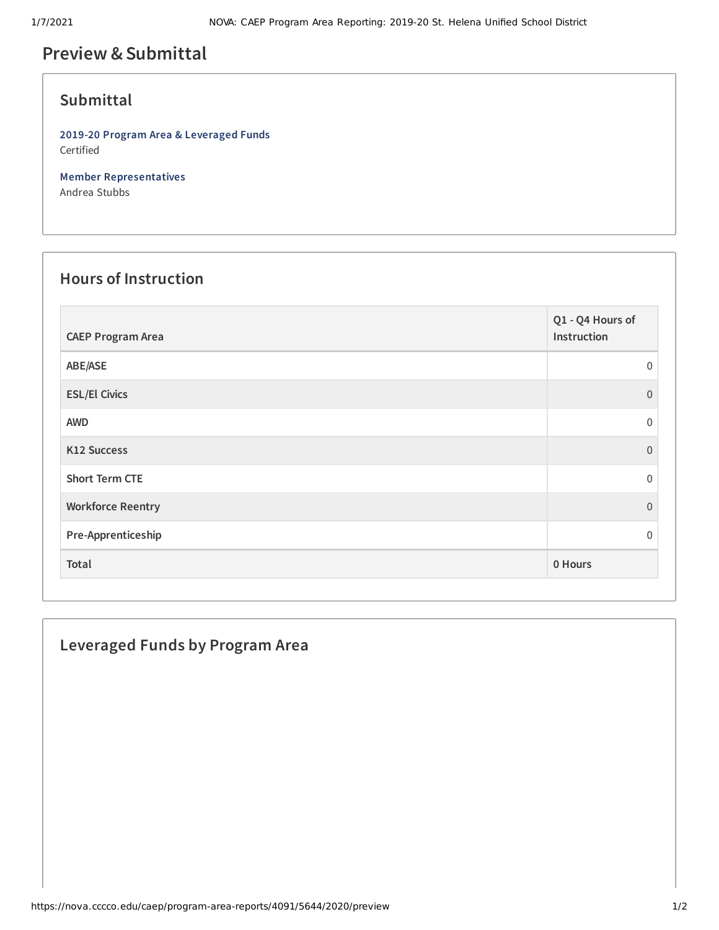# **Preview &Submittal**

#### **Submittal**

**2019-20 Program Area & Leveraged Funds** Certified

**Member Representatives** Andrea Stubbs

#### **Hours of Instruction**

| <b>CAEP Program Area</b> | Q1 - Q4 Hours of<br>Instruction |
|--------------------------|---------------------------------|
| ABE/ASE                  | $\Omega$                        |
| <b>ESL/El Civics</b>     | $\Omega$                        |
| <b>AWD</b>               | $\Omega$                        |
| K12 Success              | $\Omega$                        |
| <b>Short Term CTE</b>    | $\Omega$                        |
| <b>Workforce Reentry</b> | $\Omega$                        |
| Pre-Apprenticeship       | $\Omega$                        |
| Total                    | 0 Hours                         |

## **Leveraged Funds by Program Area**